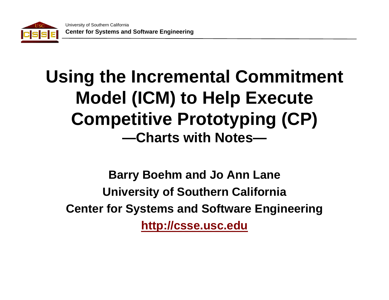

## **Using the Incremental Commitment Model (ICM) to Help Execute Competitive Prototyping (CP) —Charts with Notes—**

**Barry Boehm and Jo Ann Lane University of Southern California Center for Systems and Software Engineering [http://csse.usc.edu](http://csse.usc.edu/)**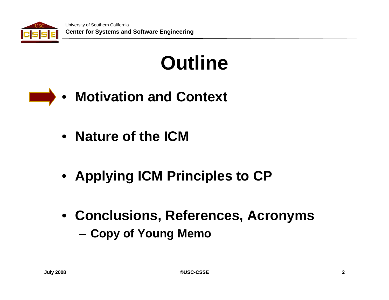

# **Outline**



- **Nature of the ICM**
- **Applying ICM Principles to CP**
- **Conclusions, References, Acronyms** –**Copy of Young Memo**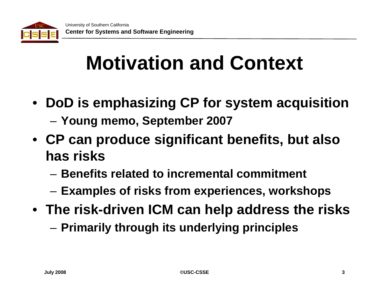

# **Motivation and Context**

- **DoD is emphasizing CP for system acquisition**
	- –**Young memo, September 2007**
- **CP can produce significant benefits, but also has risks**
	- **Benefits related to incremental commitment**
	- –**Examples of risks from experiences, workshops**
- **The risk-driven ICM can help address the risks** –**Primarily through its underlying principles**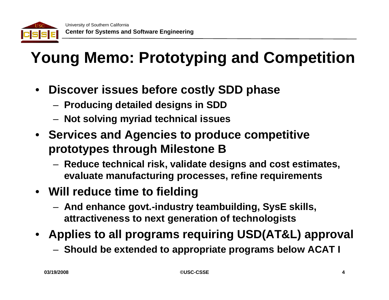

## **Young Memo: Prototyping and Competition**

- • **Discover issues before costly SDD phase**
	- –**Producing detailed designs in SDD**
	- –**Not solving myriad technical issues**
- **Services and Agencies to produce competitive prototypes through Milestone B**
	- – **Reduce technical risk, validate designs and cost estimates, evaluate manufacturing processes, refine requirements**
- **Will reduce time to fielding**
	- – **And enhance govt.-industry teambuilding, SysE skills, attractiveness to next generation of technologists**
- **Applies to all programs requiring USD(AT&L) approval**
	- –**Should be extended to appropriate programs below ACAT I**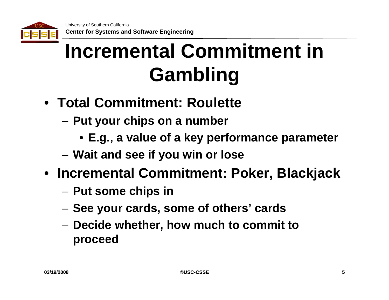

# **Incremental Commitment in Gambling**

- **Total Commitment: Roulette**
	- – **Put your chips on a number**
		- **E.g., a value of a key performance parameter**
	- –**Wait and see if you win or lose**
- **Incremental Commitment: Poker, Blackjack**
	- –**Put some chips in**
	- –**See your cards, some of others' cards**
	- – **Decide whether, how much to commit to proceed**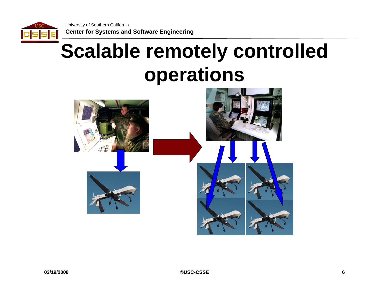

University of Southern California **Center for Systems and Software Engineering**

# **Scalable remotely controlled operations**

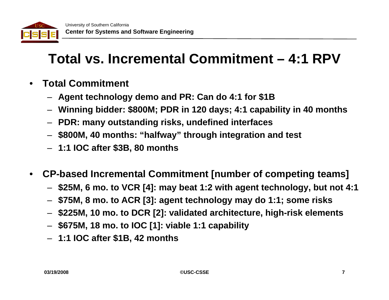

### **Total vs. Incremental Commitment – 4:1 RPV**

- • **Total Commitment**
	- **Agent technology demo and PR: Can do 4:1 for \$1B**
	- **Winning bidder: \$800M; PDR in 120 days; 4:1 capability in 40 months**
	- **PDR: many outstanding risks, undefined interfaces**
	- **\$800M, 40 months: "halfway" through integration and test**
	- **1:1 IOC after \$3B, 80 months**
- • **CP-based Incremental Commitment [number of competing teams]**
	- **\$25M, 6 mo. to VCR [4]: may beat 1:2 with agent technology, but not 4:1**
	- **\$75M, 8 mo. to ACR [3]: agent technology may do 1:1; some risks**
	- **\$225M, 10 mo. to DCR [2]: validated architecture, high-risk elements**
	- **\$675M, 18 mo. to IOC [1]: viable 1:1 capability**
	- **1:1 IOC after \$1B, 42 months**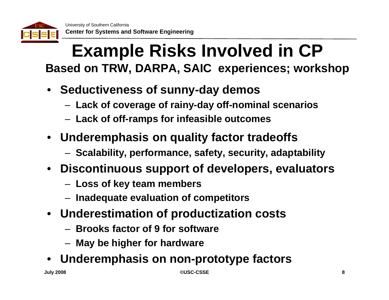

#### **Example Risks Involved in CP Based on TRW, DARPA, SAIC experiences; workshop**

- **Seductiveness of sunny-day demos**
	- –**Lack of coverage of rainy-day off-nominal scenarios**
	- –**Lack of off-ramps for infeasible outcomes**
- **Underemphasis on quality factor tradeoffs**
	- –**Scalability, performance, safety, security, adaptability**
- **Discontinuous support of developers, evaluators**
	- –**Loss of key team members**
	- –**Inadequate evaluation of competitors**
- **Underestimation of productization costs**
	- **Brooks factor of 9 for software**
	- –**May be higher for hardware**
- **Underemphasis on non-prototype factors**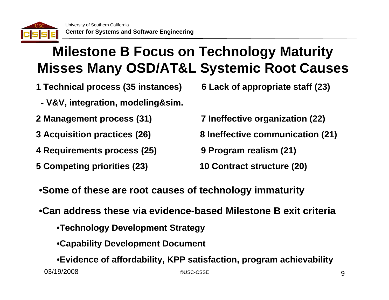

#### **Milestone B Focus on Technology Maturity Misses Many OSD/AT&L Systemic Root Causes**

- **1 Technical process (35 instances) 6 Lack of appropriate staff (23)**
	- **- V&V, integration, modeling&sim.**
- 
- 
- **4 Requirements process (25) 9 Program realism (21)**
- **5 Competing priorities (23) 10 Contract structure (20)**

**2 Management process (31) 7 Ineffective organization (22)**

**3 Acquisition practices (26) 8 Ineffective communication (21)**

•**Some of these are root causes of technology immaturity**

•**Can address these via evidence-based Milestone B exit criteria**

- •**Technology Development Strategy**
- •**Capability Development Document**

•**Evidence of affordability, KPP satisfaction, program achievability** 03/19/2008 ©USC-CSSEe de la construction de la construction de la construction de la construction de la construction de la constru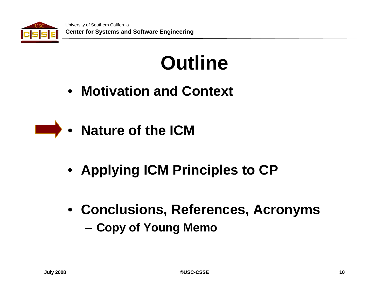

# **Outline**

- **Motivation and Context**
- **Nature of the ICM**
- **Applying ICM Principles to CP**
- **Conclusions, References, Acronyms** –**Copy of Young Memo**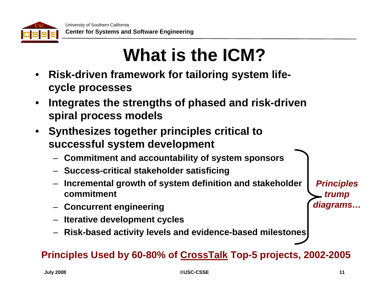

## **What is the ICM?**

- • **Risk-driven framework for tailoring system lifecycle processes**
- • **Integrates the strengths of phased and risk-driven spiral process models**
- • **Synthesizes together principles critical to successful system development**
	- **Commitment and accountability of system sponsors**
	- **Success-critical stakeholder satisficing**
	- **Incremental growth of system definition and stakeholder commitment**
	- **Concurrent engineering**
	- **Iterative development cycles**
	- **Risk-based activity levels and evidence-based milestones**

#### **Principles Used by 60-80% of CrossTalk Top-5 projects, 2002-2005**

**July 2008 ©USC-CSSE 11**

*Principles* 

*trump* 

*diagrams…*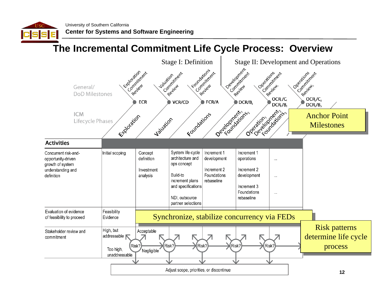

#### **The Incremental Commitment Life Cycle Process: Overview**

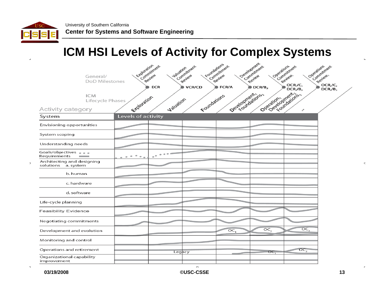

 $\Box$ 

#### **ICM HSI Levels of Activity for Complex Systems**

| General/                                             | Exploration        | Commitment<br>Valuation<br>Review | Commitment<br>Review | Foundations<br>Commitment<br>Review | Development<br>Operations<br>Commitment | Commitment                                  | Operations<br>Commitment<br>Review |
|------------------------------------------------------|--------------------|-----------------------------------|----------------------|-------------------------------------|-----------------------------------------|---------------------------------------------|------------------------------------|
| <b>DoD</b> Milestones                                |                    | <b>ECR</b>                        | VCR/CD               | FCR/A                               | Review<br>DCR/B <sub>2</sub>            | Review.<br>OCR <sub>1</sub> /C <sub>1</sub> | OCR <sub>2</sub> /C <sub>2</sub>   |
| <b>ICM</b><br>Lifecycle Phases                       | Exploration        | Valuation                         |                      | Developmentons<br>Foundations       | Operation of DCR,                       |                                             | DCR <sub>3</sub> /B <sub>3</sub>   |
| Activity category                                    |                    |                                   |                      |                                     |                                         | $\mathcal{L}$                               |                                    |
| System                                               | Levels of activity |                                   |                      |                                     |                                         |                                             |                                    |
| Envisioning opportunities                            |                    |                                   |                      |                                     |                                         |                                             |                                    |
| System scoping                                       |                    |                                   |                      |                                     |                                         |                                             |                                    |
| Understanding needs                                  |                    |                                   |                      |                                     |                                         |                                             |                                    |
| Goals/objectives<br>Requirements                     |                    | $\alpha^{\alpha}$                 |                      |                                     |                                         |                                             |                                    |
| Architecting and designing<br>solutions<br>a. system |                    |                                   |                      |                                     |                                         |                                             |                                    |
| b. human                                             |                    |                                   |                      |                                     |                                         |                                             |                                    |
| c. hardware                                          |                    |                                   |                      |                                     |                                         |                                             |                                    |
| d. software                                          |                    |                                   |                      |                                     |                                         |                                             |                                    |
| Life-cycle planning                                  |                    |                                   |                      |                                     |                                         |                                             |                                    |
| <b>Feasibility Evidence</b>                          |                    |                                   |                      |                                     |                                         |                                             |                                    |
| Negotiating commitments                              |                    |                                   |                      |                                     |                                         |                                             |                                    |
| Development and evolution                            |                    |                                   |                      | OC <sub>1</sub>                     | $\overline{OC}_2$                       | OC <sub>3</sub>                             |                                    |
| Monitoring and control                               |                    |                                   |                      |                                     |                                         |                                             |                                    |
| Operations and retirement                            |                    |                                   | Legacy               |                                     | OC.                                     | OC <sub>2</sub>                             |                                    |
| Organizational capability<br>improvement             |                    |                                   |                      |                                     |                                         |                                             |                                    |

 $\blacksquare$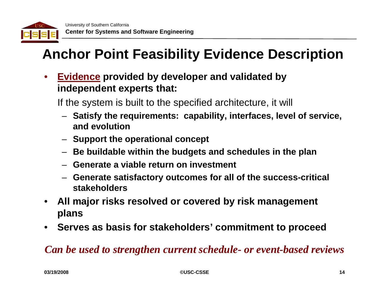

#### **Anchor Point Feasibility Evidence Description**

 $\bullet$  **Evidence provided by developer and validated by independent experts that:**

If the system is built to the specified architecture, it will

- **Satisfy the requirements: capability, interfaces, level of service, and evolution**
- **Support the operational concept**
- **Be buildable within the budgets and schedules in the plan**
- **Generate a viable return on investment**
- **Generate satisfactory outcomes for all of the success-critical stakeholders**
- • **All major risks resolved or covered by risk management plans**
- •**Serves as basis for stakeholders' commitment to proceed**

#### *Can be used to strengthen current schedule- or event-based reviews*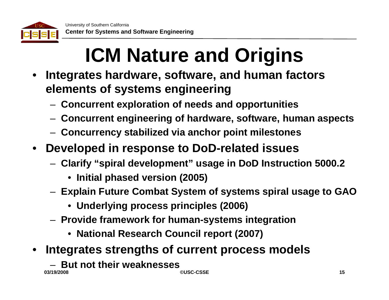

# **ICM Nature and Origins**

- • **Integrates hardware, software, and human factors elements of systems engineering**
	- –**Concurrent exploration of needs and opportunities**
	- –**Concurrent engineering of hardware, software, human aspects**
	- –**Concurrency stabilized via anchor point milestones**
- • **Developed in response to DoD-related issues**
	- – **Clarify "spiral development" usage in DoD Instruction 5000.2**
		- **Initial phased version (2005)**
	- – **Explain Future Combat System of systems spiral usage to GAO**
		- **Underlying process principles (2006)**
	- – **Provide framework for human-systems integration**
		- **National Research Council report (2007)**
- • **Integrates strengths of current process models**
	- **03/19/2008**–**But not their weaknesses**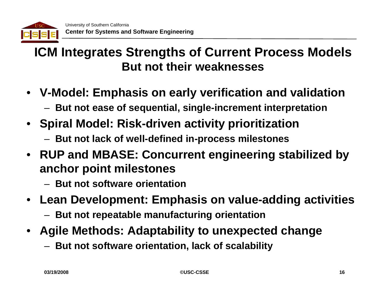

#### **ICM Integrates Strengths of Current Process Models But not their weaknesses**

- **V-Model: Emphasis on early verification and validation**
	- –**But not ease of sequential, single-increment interpretation**
- • **Spiral Model: Risk-driven activity prioritization**
	- –**But not lack of well-defined in-process milestones**
- **RUP and MBASE: Concurrent engineering stabilized by anchor point milestones**
	- **But not software orientation**
- • **Lean Development: Emphasis on value-adding activities**
	- –**But not repeatable manufacturing orientation**
- • **Agile Methods: Adaptability to unexpected change**
	- –**But not software orientation, lack of scalability**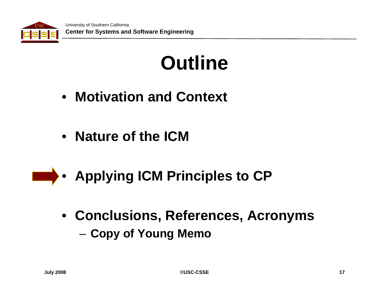

# **Outline**

- **Motivation and Context**
- **Nature of the ICM**
- **Applying ICM Principles to CP**
	- **Conclusions, References, Acronyms** –**Copy of Young Memo**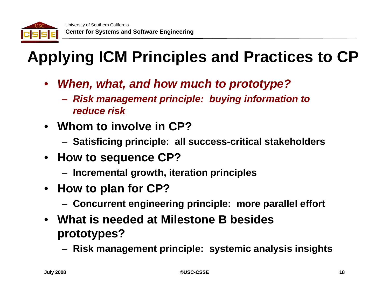

## **Applying ICM Principles and Practices to CP**

- $\bullet$  *When, what, and how much to prototype?*
	- $\mathcal{L}_{\mathcal{A}}$  *Risk management principle: buying information to reduce risk*
- **Whom to involve in CP?**
	- –**Satisficing principle: all success-critical stakeholders**
- **How to sequence CP?**
	- –**Incremental growth, iteration principles**
- **How to plan for CP?**
	- –**Concurrent engineering principle: more parallel effort**
- **What is needed at Milestone B besides prototypes?**
	- –**Risk management principle: systemic analysis insights**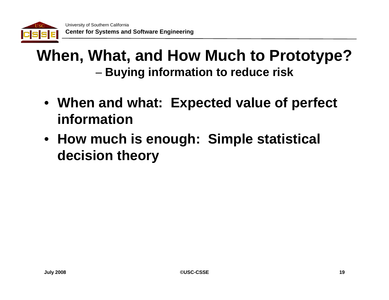

### **When, What, and How Much to Prototype? Buying information to reduce risk**

- **When and what: Expected value of perfect information**
- **How much is enough: Simple statistical decision theory**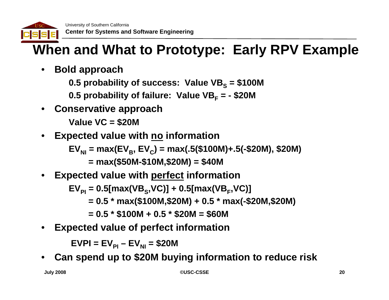

#### **When and What to Prototype: Early RPV Example**

- • **Bold approach**
	- 0.5 probability of success: Value VB<sub>s</sub> = \$100M
	- **0.5 probability of failure: Value VBF = - \$20M**
- •**Conservative approach**

**Value VC = \$20M**

•**Expected value with no information**

> EV<sub>NI</sub> = max(EV<sub>B</sub>, EV<sub>C</sub>) = max(.5(\$100M)+.5(-\$20M), \$20M) **= max(\$50M-\$10M,\$20M) = \$40M**

•**Expected value with perfect information**

**EVPI = 0.5[max(VBS,VC)] + 0.5[max(VBF,VC)]**

**= 0.5 \* max(\$100M,\$20M) + 0.5 \* max(-\$20M,\$20M)**

**= 0.5 \* \$100M + 0.5 \* \$20M = \$60M**

•**Expected value of perfect information**

 $\mathsf{EVPI} = \mathsf{EV}_{\mathsf{PI}} - \mathsf{EV}_{\mathsf{NI}} = \$20\mathsf{M}$ 

•**Can spend up to \$20M buying information to reduce risk**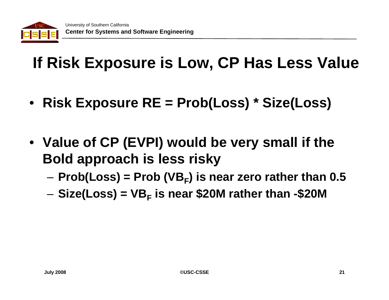

## **If Risk Exposure is Low, CP Has Less Value**

- **Risk Exposure RE = Prob(Loss) \* Size(Loss)**
- **Value of CP (EVPI) would be very small if the Bold approach is less risky**
	- – $-$  Prob(Loss) = Prob (VB<sub>F</sub>) is near zero rather than 0.5
	- –— Size(Loss) = VB<sub>F</sub> is near \$20M rather than -\$20M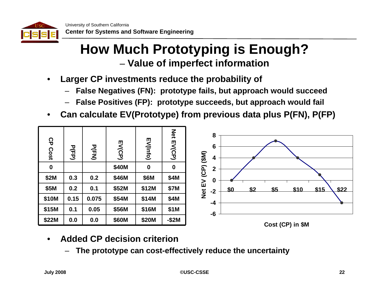

#### **How Much Prototyping is Enough? Value of imperfect information**

- • **Larger CP investments reduce the probability of**
	- **False Negatives (FN): prototype fails, but approach would succeed**
	- –**False Positives (FP): prototype succeeds, but approach would fail**
- •**Can calculate EV(Prototype) from previous data plus P(FN), P(FP)**



- • **Added CP decision criterion**
	- –**The prototype can cost-effectively reduce the uncertainty**

**July 2008 ©USC-CSSE 22**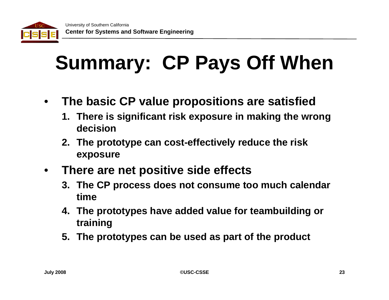

# **Summary: CP Pays Off When**

- $\bullet$  **The basic CP value propositions are satisfied**
	- **1. There is significant risk exposure in making the wrong decision**
	- **2. The prototype can cost-effectively reduce the risk exposure**
- $\bullet$  **There are net positive side effects**
	- **3. The CP process does not consume too much calendar time**
	- **4. The prototypes have added value for teambuilding or training**
	- **5. The prototypes can be used as part of the product**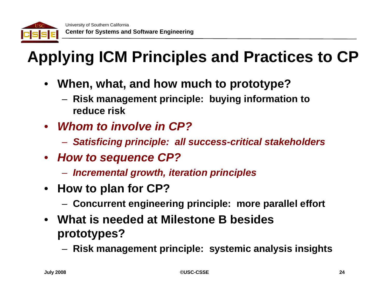

## **Applying ICM Principles and Practices to CP**

- **When, what, and how much to prototype?**
	- – **Risk management principle: buying information to reduce risk**
- *Whom to involve in CP?*
	- <del>Jan Karl II.</del><br>Vyhy tysy *Satisficing principle: all success-critical stakeholders*
- *How to sequence CP?*
	- <del>Jan Karl II.</del><br>Vyhy tysy *Incremental growth, iteration principles*
- **How to plan for CP?**
	- –**Concurrent engineering principle: more parallel effort**
- **What is needed at Milestone B besides prototypes?**
	- –**Risk management principle: systemic analysis insights**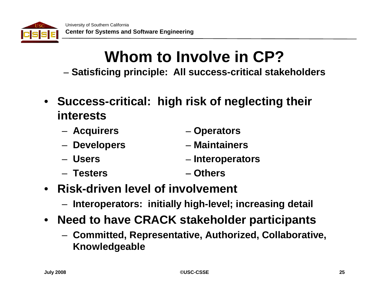

### **Whom to Involve in CP?**

**Satisficing principle: All success-critical stakeholders**

- **Success-critical: high risk of neglecting their interests**
	- –**Acquirers** <sup>−</sup> **Operators**
	- –**Developers** <sup>−</sup> **Maintainers**
	- –
- 
- 
- **Users** <sup>−</sup> **Interoperators**
- **Testers** <sup>−</sup> **Others**
- 
- **Risk-driven level of involvement**
	- –**Interoperators: initially high-level; increasing detail**
- **Need to have CRACK stakeholder participants**
	- – **Committed, Representative, Authorized, Collaborative, Knowledgeable**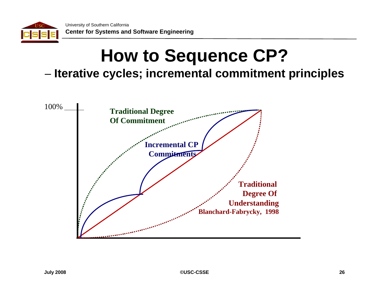

## **How to Sequence CP?**

#### **Iterative cycles; incremental commitment principles**

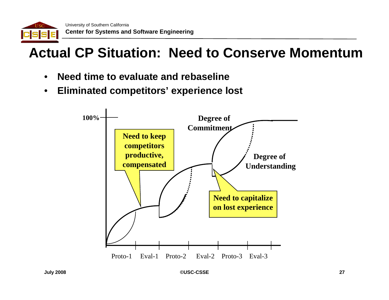

#### **Actual CP Situation: Need to Conserve Momentum**

- •**Need time to evaluate and rebaseline**
- $\bullet$ **Eliminated competitors' experience lost**

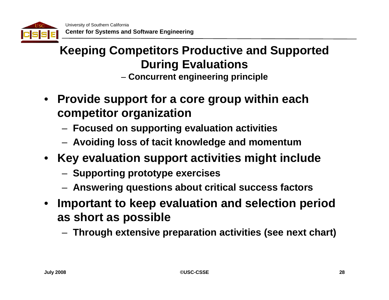



- **Concurrent engineering principle**
- $\bullet$  **Provide support for a core group within each competitor organization** 
	- –**Focused on supporting evaluation activities**
	- –**Avoiding loss of tacit knowledge and momentum**
- **Key evaluation support activities might include**
	- –**Supporting prototype exercises**
	- –**Answering questions about critical success factors**
- **Important to keep evaluation and selection period as short as possible**
	- –**Through extensive preparation activities (see next chart)**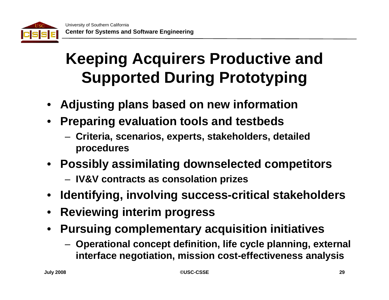

### **Keeping Acquirers Productive and Supported During Prototyping**

- **Adjusting plans based on new information**
- **Preparing evaluation tools and testbeds**
	- – **Criteria, scenarios, experts, stakeholders, detailed procedures**
- **Possibly assimilating downselected competitors**
	- –**IV&V contracts as consolation prizes**
- $\bullet$ **Identifying, involving success-critical stakeholders**
- $\bullet$ **Reviewing interim progress**
- **Pursuing complementary acquisition initiatives**
	- – **Operational concept definition, life cycle planning, external interface negotiation, mission cost-effectiveness analysis**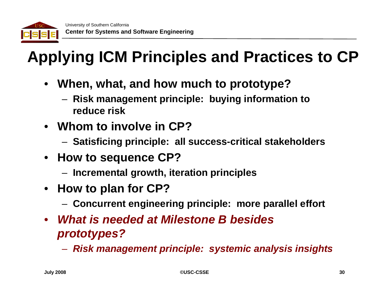

## **Applying ICM Principles and Practices to CP**

- **When, what, and how much to prototype?**
	- – **Risk management principle: buying information to reduce risk**
- **Whom to involve in CP?**
	- –**Satisficing principle: all success-critical stakeholders**
- **How to sequence CP?**
	- –**Incremental growth, iteration principles**
- **How to plan for CP?**
	- –**Concurrent engineering principle: more parallel effort**
- • *What is needed at Milestone B besides prototypes?*
	- <del>Jan Karl II.</del><br>Vyhyvänä *Risk management principle: systemic analysis insights*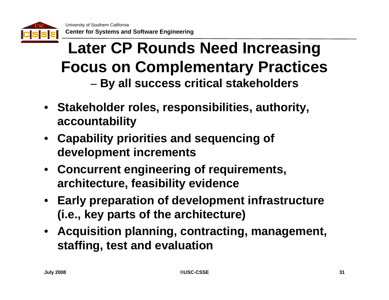

### **Later CP Rounds Need Increasing Focus on Complementary Practices By all success critical stakeholders**

- **Stakeholder roles, responsibilities, authority, accountability**
- $\bullet$  **Capability priorities and sequencing of development increments**
- **Concurrent engineering of requirements, architecture, feasibility evidence**
- **Early preparation of development infrastructure (i.e., key parts of the architecture)**
- **Acquisition planning, contracting, management, staffing, test and evaluation**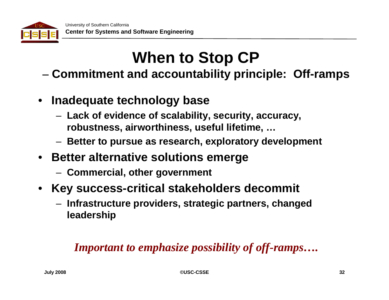

### **When to Stop CP**

- **Commitment and accountability principle: Off-ramps**
- $\bullet$  **Inadequate technology base**
	- – **Lack of evidence of scalability, security, accuracy, robustness, airworthiness, useful lifetime, …**
	- –**Better to pursue as research, exploratory development**
- **Better alternative solutions emerge**
	- –**Commercial, other government**
- **Key success-critical stakeholders decommit**
	- – **Infrastructure providers, strategic partners, changed leadership**

#### *Important to emphasize possibility of off-ramps….*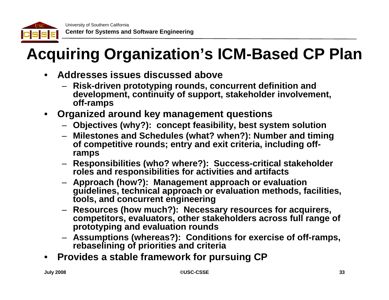

### **Acquiring Organization's ICM-Based CP Plan**

- • **Addresses issues discussed above**
	- **Risk-driven prototyping rounds, concurrent definition and development, continuity of support, stakeholder involvement, off-ramps**
- • **Organized around key management questions**
	- **Objectives (why?): concept feasibility, best system solution**
	- **Milestones and Schedules (what? when?): Number and timing of competitive rounds; entry and exit criteria, including offramps**
	- **Responsibilities (who? where?): Success-critical stakeholder roles and responsibilities for activities and artifacts**
	- **Approach (how?): Management approach or evaluation guidelines, technical approach or evaluation methods, facilities, tools, and concurrent engineering**
	- **Resources (how much?): Necessary resources for acquirers, competitors, evaluators, other stakeholders across full range of prototyping and evaluation rounds**
	- **Assumptions (whereas?): Conditions for exercise of off-ramps, rebaselining of priorities and criteria**
- •**Provides a stable framework for pursuing CP**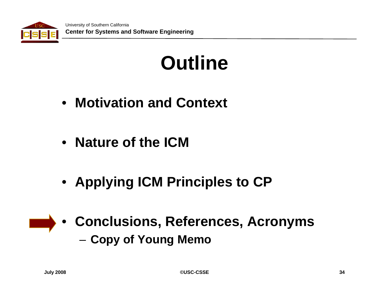

# **Outline**

- **Motivation and Context**
- **Nature of the ICM**
- **Applying ICM Principles to CP**
- **Conclusions, References, Acronyms** –**Copy of Young Memo**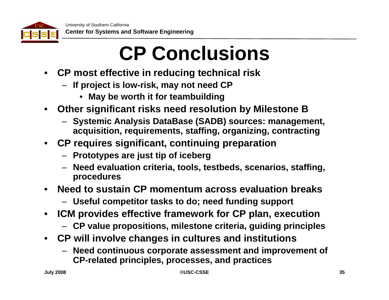

# **CP Conclusions**

- • **CP most effective in reducing technical risk**
	- **If project is low-risk, may not need CP**
		- **May be worth it for teambuilding**
- • **Other significant risks need resolution by Milestone B**
	- **Systemic Analysis DataBase (SADB) sources: management, acquisition, requirements, staffing, organizing, contracting**
- • **CP requires significant, continuing preparation**
	- **Prototypes are just tip of iceberg**
	- **Need evaluation criteria, tools, testbeds, scenarios, staffing, procedures**
- • **Need to sustain CP momentum across evaluation breaks**
	- **Useful competitor tasks to do; need funding support**
- • **ICM provides effective framework for CP plan, execution**
	- **CP value propositions, milestone criteria, guiding principles**
- $\bullet$  **CP will involve changes in cultures and institutions**
	- **Need continuous corporate assessment and improvement of CP-related principles, processes, and practices**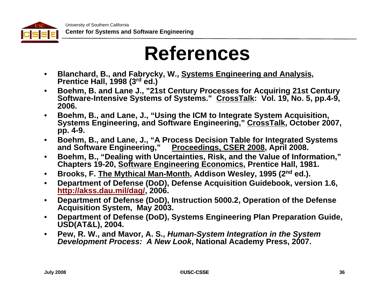

## **References**

- • **Blanchard, B., and Fabrycky, W., Systems Engineering and Analysis, Prentice Hall, 1998 (3rd ed.)**
- • **Boehm, B. and Lane J., "21st Century Processes for Acquiring 21st Century Software-Intensive Systems of Systems." CrossTalk: Vol. 19, No. 5, pp.4-9, 2006.**
- • **Boehm, B., and Lane, J., "Using the ICM to Integrate System Acquisition, Systems Engineering, and Software Engineering," CrossTalk, October 2007, pp. 4-9.**
- $\bullet$  **Boehm, B., and Lane, J., "A Process Decision Table for Integrated Systems and Software Engineering," Proceedings, CSER 2008, April 2008.**
- • **Boehm, B., "Dealing with Uncertainties, Risk, and the Value of Information," Chapters 19-20, Software Engineering Economics, Prentice Hall, 1981.**
- $\bullet$ **Brooks, F. The Mythical Man-Month, Addison Wesley, 1995 (2nd ed.).**
- • **Department of Defense (DoD), Defense Acquisition Guidebook, version 1.6, <http://akss.dau.mil/dag/>, 2006.**
- • **Department of Defense (DoD), Instruction 5000.2, Operation of the Defense Acquisition System, May 2003.**
- • **Department of Defense (DoD), Systems Engineering Plan Preparation Guide, USD(AT&L), 2004.**
- • **Pew, R. W., and Mavor, A. S.,** *Human-System Integration in the System Development Process: A New Look***, National Academy Press, 2007.**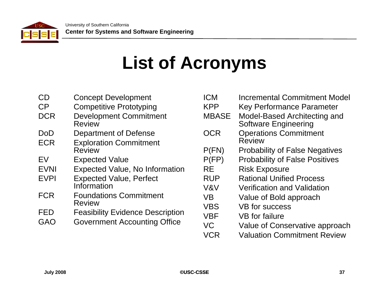

## **List of Acronyms**

- CD Concept Development
- CP Competitive Prototyping
- DCR Development Commitment **Review**
- DoD Department of Defense
- ECR Exploration Commitment Review
- EV Expected Value
- EVNI Expected Value, No Information
- EVPI Expected Value, Perfect Information
- FCR Foundations Commitment Review
- FED Feasibility Evidence Description
- GAO Government Accounting Office

| <b>ICM</b>   | <b>Incremental Commitment Model</b>                         |
|--------------|-------------------------------------------------------------|
| <b>KPP</b>   | <b>Key Performance Parameter</b>                            |
| <b>MBASE</b> | Model-Based Architecting and<br><b>Software Engineering</b> |
| <b>OCR</b>   | <b>Operations Commitment</b><br>Review                      |
| P(FN)        | <b>Probability of False Negatives</b>                       |
| P(FP)        | <b>Probability of False Positives</b>                       |
| RE           | <b>Risk Exposure</b>                                        |
| <b>RUP</b>   | <b>Rational Unified Process</b>                             |
| V&V          | <b>Verification and Validation</b>                          |
| VB           | Value of Bold approach                                      |
| <b>VBS</b>   | <b>VB</b> for success                                       |
| <b>VBF</b>   | VB for failure                                              |
| VC           | Value of Conservative approach                              |
| VCR          | <b>Valuation Commitment Review</b>                          |